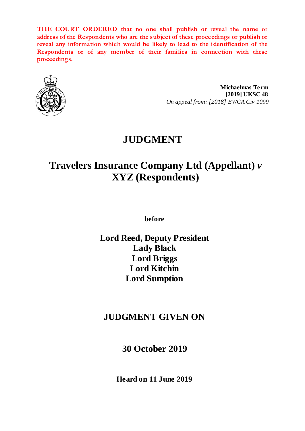**THE COURT ORDERED that no one shall publish or reveal the name or address of the Respondents who are the subject of these proceedings or publish or reveal any information which would be likely to lead to the identification of the Respondents or of any member of their families in connection with these proceedings.**



**Michaelmas Term [2019] UKSC 48** *On appeal from: [2018] EWCA Civ 1099*

# **JUDGMENT**

# **Travelers Insurance Company Ltd (Appellant)** *v* **XYZ (Respondents)**

**before** 

**Lord Reed, Deputy President Lady Black Lord Briggs Lord Kitchin Lord Sumption**

# **JUDGMENT GIVEN ON**

**30 October 2019**

**Heard on 11 June 2019**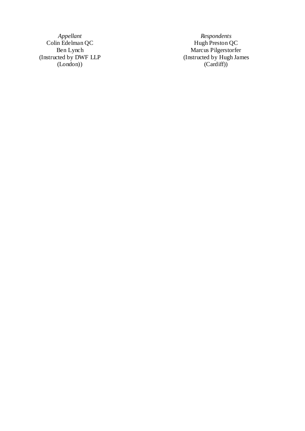(Instructed by DWF LLP (London) )

*Appellant Respondent Respondents*<br>Hugh Preston QC Colin Edelman QC **Hugh Preston QC** Ben Lynch Marcus Pilgerstorfer (Instructed by Hugh James (Cardiff) )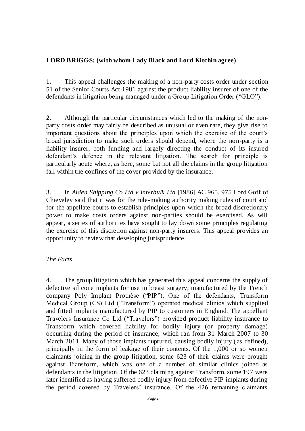# **LORD BRIGGS: (with whom Lady Black and Lord Kitchin agree)**

1. This appeal challenges the making of a non-party costs order under section 51 of the Senior Courts Act 1981 against the product liability insurer of one of the defendants in litigation being managed under a Group Litigation Order ("GLO").

2. Although the particular circumstances which led to the making of the nonparty costs order may fairly be described as unusual or even rare, they give rise to important questions about the principles upon which the exercise of the court's broad jurisdiction to make such orders should depend, where the non-party is a liability insurer, both funding and largely directing the conduct of its insured defendant's defence in the relevant litigation. The search for principle is particularly acute where, as here, some but not all the claims in the group litigation fall within the confines of the cover provided by the insurance.

3. In *Aiden Shipping Co Ltd v Interbulk Ltd* [1986] AC 965, 975 Lord Goff of Chieveley said that it was for the rule-making authority making rules of court and for the appellate courts to establish principles upon which the broad discretionary power to make costs orders against non-parties should be exercised. As will appear, a series of authorities have sought to lay down some principles regulating the exercise of this discretion against non-party insurers. This appeal provides an opportunity to review that developing jurisprudence.

# *The Facts*

4. The group litigation which has generated this appeal concerns the supply of defective silicone implants for use in breast surgery, manufactured by the French company Poly Implant Prothèse ("PIP"). One of the defendants, Transform Medical Group (CS) Ltd ("Transform") operated medical clinics which supplied and fitted implants manufactured by PIP to customers in England. The appellant Travelers Insurance Co Ltd ("Travelers") provided product liability insurance to Transform which covered liability for bodily injury (or property damage) occurring during the period of insurance, which ran from 31 March 2007 to 30 March 2011. Many of those implants ruptured, causing bodily injury ( as defined), principally in the form of leakage of their contents. Of the 1,000 or so women claimants joining in the group litigation, some 623 of their claims were brought against Transform, which was one of a number of similar clinics joined as defendants in the litigation. Of the 623 claiming against Transform, some 197 were later identified as having suffered bodily injury from defective PIP implants during the period covered by Travelers' insurance. Of the 426 remaining claimants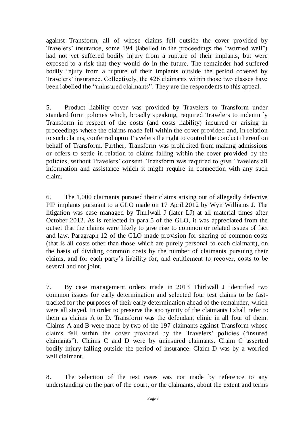against Transform, all of whose claims fell outside the cover provided by Travelers' insurance, some 194 (labelled in the proceedings the "worried well") had not yet suffered bodily injury from a rupture of their implants, but were exposed to a risk that they would do in the future. The remainder had suffered bodily injury from a rupture of their implants outside the period covered by Travelers' insurance. Collectively, the 426 claimants within those two classes have been labelled the "uninsured claimants". They are the respondents to this appeal.

5. Product liability cover was provided by Travelers to Transform under standard form policies which, broadly speaking, required Travelers to indemnify Transform in respect of the costs (and costs liability) incurred or arising in proceedings where the claims made fell within the cover provided and, in relation to such claims, conferred upon Travelers the right to control the conduct thereof on behalf of Transform. Further, Transform was prohibited from making admissions or offers to settle in relation to claims falling within the cover provided by the policies, without Travelers' consent. Transform was required to give Travelers all information and assistance which it might require in connection with any such claim.

6. The 1,000 claimants pursued their claims arising out of allegedly defective PIP implants pursuant to a GLO made on 17 April 2012 by Wyn Williams J. The litigation was case managed by Thirlwall J (later LJ) at all material times after October 2012. As is reflected in para 5 of the GLO, it was appreciated from the outset that the claims were likely to give rise to common or related issues of fact and law. Paragraph 12 of the GLO made provision for sharing of common costs (that is all costs other than those which are purely personal to each claimant), on the basis of dividing common costs by the number of claimants pursuing their claims, and for each party's liability for, and entitlement to recover, costs to be several and not joint.

7. By case management orders made in 2013 Thirlwall J identified two common issues for early determination and selected four test claims to be fasttracked for the purposes of their early determination ahead of the remainder, which were all stayed. In order to preserve the anonymity of the claimants I shall refer to them as claims A to D. Transform was the defendant clinic in all four of them. Claims A and B were made by two of the 197 claimants against Transform whose claims fell within the cover provided by the Travelers' policies ("insured claimants"). Claims C and D were by uninsured claimants. Claim C asserted bodily injury falling outside the period of insurance. Claim D was by a worried well claimant.

8. The selection of the test cases was not made by reference to any understanding on the part of the court, or the claimants, about the extent and terms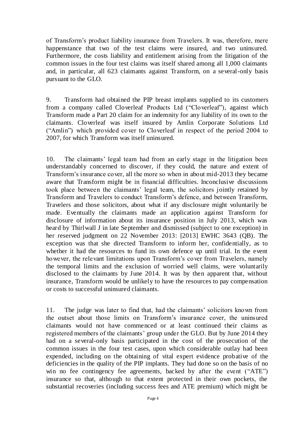of Transform's product liability insurance from Travelers. It was, therefore, mere happenstance that two of the test claims were insured, and two uninsured. Furthermore, the costs liability and entitlement arising from the litigation of the common issues in the four test claims was itself shared among all 1,000 claimants and, in particular, all 623 claimants against Transform, on a several-only basis pursuant to the GLO.

9. Transform had obtained the PIP breast implants supplied to its customers from a company called Cloverleaf Products Ltd ("Cloverleaf"), against which Transform made a Part 20 claim for an indemnity for any liability of its own to the claimants. Cloverleaf was itself insured by Amlin Corporate Solutions Ltd ("Amlin") which provided cover to Cloverleaf in respect of the period 2004 to 2007, for which Transform was itself uninsured.

10. The claimants' legal team had from an early stage in the litigation been understandably concerned to discover, if they could, the nature and extent of Transform's insurance cover, all the more so when in about mid-2013 they became aware that Transform might be in financial difficulties. Inconclusive discussions took place between the claimants' legal team, the solicitors jointly retained by Transform and Travelers to conduct Transform's defence, and between Transform, Travelers and those solicitors, about what if any disclosure might voluntarily be made. Eventually the claimants made an application against Transform for disclosure of information about its insurance position in July 2013, which was heard by Thirlwall J in late September and dismissed (subject to one exception) in her reserved judgment on 22 November 2013: [2013] EWHC 3643 (QB). The exception was that she directed Transform to inform her, confidentially, as to whether it had the resources to fund its own defence up until trial. In the event however, the relevant limitations upon Transform's cover from Travelers, namely the temporal limits and the exclusion of worried well claims, were voluntarily disclosed to the claimants by June 2014. It was by then apparent that, without insurance, Transform would be unlikely to have the resources to pay compensation or costs to successful uninsured claimants.

11. The judge was later to find that, had the claimants' solicitors known from the outset about those limits on Transform's insurance cover, the uninsured claimants would not have commenced or at least continued their claims as registered members of the claimants' group under the GLO. But by June 2014 they had on a several-only basis participated in the cost of the prosecution of the common issues in the four test cases, upon which considerable outlay had been expended, including on the obtaining of vital expert evidence probative of the deficiencies in the quality of the PIP implants. They had done so on the basis of no win no fee contingency fee agreements, backed by after the event ("ATE") insurance so that, although to that extent protected in their own pockets, the substantial recoveries (including success fees and ATE premium) which might be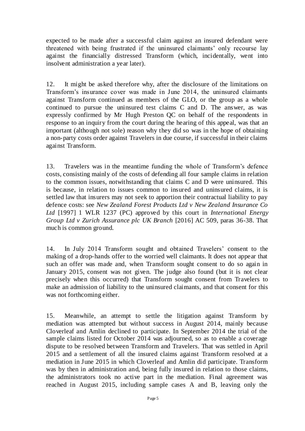expected to be made after a successful claim against an insured defendant were threatened with being frustrated if the uninsured claimants' only recourse lay against the financially distressed Transform (which, incidentally, went into insolvent administration a year later).

12. It might be asked therefore why, after the disclosure of the limitations on Transform's insurance cover was made in June 2014, the uninsured claimants against Transform continued as members of the GLO, or the group as a whole continued to pursue the uninsured test claims C and D. The answer, as was expressly confirmed by Mr Hugh Preston QC on behalf of the respondents in response to an inquiry from the court during the hearing of this appeal, was that an important (although not sole) reason why they did so was in the hope of obtaining a non-party costs order against Travelers in due course, if successful in their claims against Transform.

13. Travelers was in the meantime funding the whole of Transform's defence costs, consisting mainly of the costs of defending all four sample claims in relation to the common issues, notwithstanding that claims C and D were uninsured. This is because, in relation to issues common to insured and uninsured claims, it is settled law that insurers may not seek to apportion their contractual liability to pay defence costs: see *New Zealand Forest Products Ltd v New Zealand Insurance Co Ltd* [1997] 1 WLR 1237 (PC) approved by this court in *International Energy Group Ltd v Zurich Assurance plc UK Branch* [2016] AC 509, paras 36-38. That much is common ground.

14. In July 2014 Transform sought and obtained Travelers' consent to the making of a drop-hands offer to the worried well claimants. It does not appear that such an offer was made and, when Transform sought consent to do so again in January 2015, consent was not given. The judge also found (but it is not clear precisely when this occurred) that Transform sought consent from Travelers to make an admission of liability to the uninsured claimants, and that consent for this was not forthcoming either.

15. Meanwhile, an attempt to settle the litigation against Transform by mediation was attempted but without success in August 2014, mainly because Cloverleaf and Amlin declined to participate. In September 2014 the trial of the sample claims listed for October 2014 was adjourned, so as to enable a coverage dispute to be resolved between Transform and Travelers. That was settled in April 2015 and a settlement of all the insured claims against Transform resolved at a mediation in June 2015 in which Cloverleaf and Amlin did participate. Transform was by then in administration and, being fully insured in relation to those claims, the administrators took no active part in the mediation. Final agreement was reached in August 2015, including sample cases A and B, leaving only the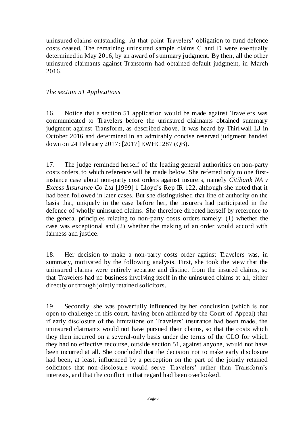uninsured claims outstanding. At that point Travelers' obligation to fund defence costs ceased. The remaining uninsured sample claims C and D were eventually determined in May 2016, by an award of summary judgment. By then, all the other uninsured claimants against Transform had obtained default judgment, in March 2016.

# *The section 51 Applications*

16. Notice that a section 51 application would be made against Travelers was communicated to Travelers before the uninsured claimants obtained summary judgment against Transform, as described above. It was heard by Thirlwall LJ in October 2016 and determined in an admirably concise reserved judgment handed down on 24 February 2017: [2017] EWHC 287 (QB).

17. The judge reminded herself of the leading general authorities on non-party costs orders, to which reference will be made below. She referred only to one firstinstance case about non-party cost orders against insurers, namely *Citibank NA v Excess Insurance Co Ltd* [1999] 1 Lloyd's Rep IR 122, although she noted that it had been followed in later cases. But she distinguished that line of authority on the basis that, uniquely in the case before her, the insurers had participated in the defence of wholly uninsured claims. She therefore directed herself by reference to the general principles relating to non-party costs orders namely: (1) whether the case was exceptional and (2) whether the making of an order would accord with fairness and justice.

18. Her decision to make a non-party costs order against Travelers was, in summary, motivated by the following analysis. First, she took the view that the uninsured claims were entirely separate and distinct from the insured claims, so that Travelers had no business involving itself in the uninsured claims at all, either directly or through jointly retained solicitors.

19. Secondly, she was powerfully influenced by her conclusion (which is not open to challenge in this court, having been affirmed by the Court of Appeal) that if early disclosure of the limitations on Travelers' insurance had been made, the uninsured claimants would not have pursued their claims, so that the costs which they then incurred on a several-only basis under the terms of the GLO for which they had no effective recourse, outside section 51, against anyone, would not have been incurred at all. She concluded that the decision not to make early disclosure had been, at least, influenced by a perception on the part of the jointly retained solicitors that non-disclosure would serve Travelers' rather than Transform's interests, and that the conflict in that regard had been overlooked.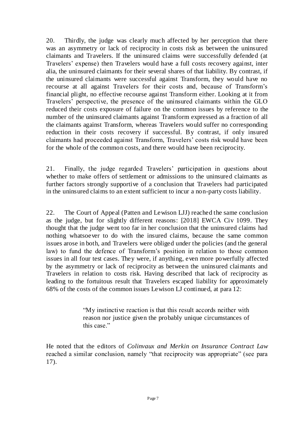20. Thirdly, the judge was clearly much affected by her perception that there was an asymmetry or lack of reciprocity in costs risk as between the uninsured claimants and Travelers. If the uninsured claims were successfully defended (at Travelers' expense) then Travelers would have a full costs recovery against, inter alia, the uninsured claimants for their several shares of that liability. By contrast, if the uninsured claimants were successful against Transform, they would have no recourse at all against Travelers for their costs and, because of Transform's financial plight, no effective recourse against Transform either. Looking at it from Travelers' perspective, the presence of the uninsured claimants within the GLO reduced their costs exposure of failure on the common issues by reference to the number of the uninsured claimants against Transform expressed as a fraction of all the claimants against Transform, whereas Travelers would suffer no corresponding reduction in their costs recovery if successful. By contrast, if only insured claimants had proceeded against Transform, Travelers' costs risk would have been for the whole of the common costs, and there would have been reciprocity.

21. Finally, the judge regarded Travelers' participation in questions about whether to make offers of settlement or admissions to the uninsured claimants as further factors strongly supportive of a conclusion that Travelers had participated in the uninsured claims to an extent sufficient to incur a non-party costs liability.

22. The Court of Appeal (Patten and Lewison LJJ) reached the same conclusion as the judge, but for slightly different reasons: [2018] EWCA Civ 1099. They thought that the judge went too far in her conclusion that the uninsured claims had nothing whatsoever to do with the insured claims, because the same common issues arose in both, and Travelers were obliged under the policies (and the general law) to fund the defence of Transform's position in relation to those common issues in all four test cases. They were, if anything, even more powerfully affected by the asymmetry or lack of reciprocity as between the uninsured claimants and Travelers in relation to costs risk. Having described that lack of reciprocity as leading to the fortuitous result that Travelers escaped liability for approximately 68% of the costs of the common issues Lewison LJ continued, at para 12:

> "My instinctive reaction is that this result accords neither with reason nor justice given the probably unique circumstances of this case."

He noted that the editors of *Colinvaux and Merkin on Insurance Contract Law* reached a similar conclusion, namely "that reciprocity was appropriate" (see para 17).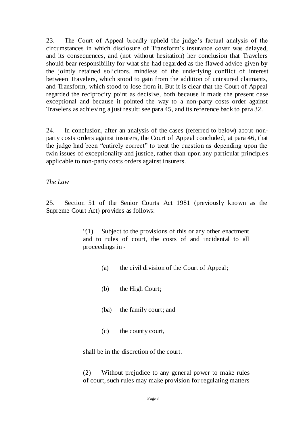23. The Court of Appeal broadly upheld the judge's factual analysis of the circumstances in which disclosure of Transform's insurance cover was delayed, and its consequences, and (not without hesitation) her conclusion that Travelers should bear responsibility for what she had regarded as the flawed advice given by the jointly retained solicitors, mindless of the underlying conflict of interest between Travelers, which stood to gain from the addition of uninsured claimants, and Transform, which stood to lose from it. But it is clear that the Court of Appeal regarded the reciprocity point as decisive, both because it made the present case exceptional and because it pointed the way to a non-party costs order against Travelers as achieving a just result: see para 45, and its reference back to para 32.

24. In conclusion, after an analysis of the cases (referred to below) about nonparty costs orders against insurers, the Court of Appeal concluded, at para 46, that the judge had been "entirely correct" to treat the question as depending upon the twin issues of exceptionality and justice, rather than upon any particular principle s applicable to non-party costs orders against insurers.

*The Law*

25. Section 51 of the Senior Courts Act 1981 (previously known as the Supreme Court Act) provides as follows:

> "(1) Subject to the provisions of this or any other enactment and to rules of court, the costs of and incidental to all proceedings in -

- (a) the civil division of the Court of Appeal;
- (b) the High Court;
- (ba) the family court; and
- (c) the county court,

shall be in the discretion of the court.

(2) Without prejudice to any general power to make rules of court, such rules may make provision for regulating matters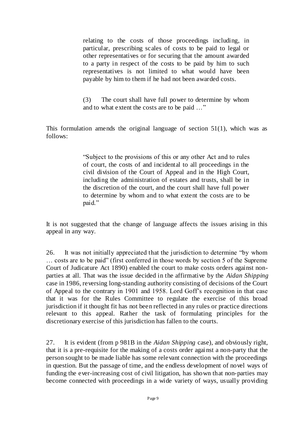relating to the costs of those proceedings including, in particular, prescribing scales of costs to be paid to legal or other representatives or for securing that the amount awarded to a party in respect of the costs to be paid by him to such representatives is not limited to what would have been payable by him to them if he had not been awarded costs.

(3) The court shall have full power to determine by whom and to what extent the costs are to be paid …"

This formulation amends the original language of section  $51(1)$ , which was as follows:

> "Subject to the provisions of this or any other Act and to rules of court, the costs of and incidental to all proceedings in the civil division of the Court of Appeal and in the High Court, including the administration of estates and trusts, shall be in the discretion of the court, and the court shall have full power to determine by whom and to what extent the costs are to be paid."

It is not suggested that the change of language affects the issues arising in this appeal in any way.

26. It was not initially appreciated that the jurisdiction to determine "by whom … costs are to be paid" (first conferred in those words by section 5 of the Supreme Court of Judicature Act 1890) enabled the court to make costs orders against nonparties at all. That was the issue decided in the affirmative by the *Aidan Shipping*  case in 1986, reversing long-standing authority consisting of decisions of the Court of Appeal to the contrary in 1901 and 1958. Lord Goff's recognition in that case that it was for the Rules Committee to regulate the exercise of this broad jurisdiction if it thought fit has not been reflected in any rules or practice directions relevant to this appeal. Rather the task of formulating principles for the discretionary exercise of this jurisdiction has fallen to the courts.

27. It is evident (from p 981B in the *Aidan Shipping* case), and obviously right, that it is a pre-requisite for the making of a costs order agai nst a non-party that the person sought to be made liable has some relevant connection with the proceedings in question. But the passage of time, and the endless development of novel ways of funding the ever-increasing cost of civil litigation, has shown that non-parties may become connected with proceedings in a wide variety of ways, usually providing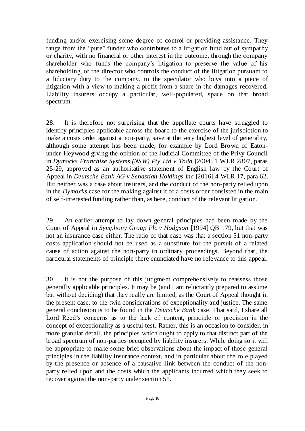funding and/or exercising some degree of control or providing assistance. They range from the "pure" funder who contributes to a litigation fund out of sympathy or charity, with no financial or other interest in the outcome, through the company shareholder who funds the company's litigation to preserve the value of his shareholding, or the director who controls the conduct of the litigation pursuant to a fiduciary duty to the company, to the speculator who buys into a piece of litigation with a view to making a profit from a share in the damages recovered. Liability insurers occupy a particular, well-populated, space on that broad spectrum.

28. It is therefore not surprising that the appellate courts have struggled to identify principles applicable across the board to the exercise of the jurisdiction to make a costs order against a non-party, save at the very highest level of generality, although some attempt has been made, for example by Lord Brown of Eatonunder-Heywood giving the opinion of the Judicial Committee of the Privy Council in *Dymocks Franchise Systems (NSW) Pty Ltd v Todd* [2004] 1 WLR 2807, paras 25-29, approved as an authoritative statement of English law by the Court of Appeal in *Deutsche Bank AG v Sebastian Holdings Inc* [2016] 4 WLR 17, para 62. But neither was a case about insurers, and the conduct of the non-party relied upon in the *Dymocks* case for the making against it of a costs order consisted in the main of self-interested funding rather than, as here, conduct of the relevant litigation.

29. An earlier attempt to lay down general principles had been made by the Court of Appeal in *Symphony Group Plc v Hodgson* [1994] QB 179, but that was not an insurance case either. The ratio of that case was that a section 51 non-party costs application should not be used as a substitute for the pursuit of a related cause of action against the non-party in ordinary proceedings. Beyond that, the particular statements of principle there enunciated have no relevance to this appeal.

30. It is not the purpose of this judgment comprehensively to reassess those generally applicable principles. It may be (and I am reluctantly prepared to assume but without deciding) that they really are limited, as the Court of Appeal thought in the present case, to the twin considerations of exceptionality and justice. The same general conclusion is to be found in the *Deutsche Bank* case. That said, I share all Lord Reed's concerns as to the lack of content, principle or precision in the concept of exceptionality as a useful test. Rather, this is an occasion to consider, in more granular detail, the principles which ought to apply to that distinct part of the broad spectrum of non-parties occupied by liability insurers. While doing so it will be appropriate to make some brief observations about the impact of those general principles in the liability insurance context, and in particular about the role played by the presence or absence of a causative link between the conduct of the nonparty relied upon and the costs which the applicants incurred which they seek to recover against the non-party under section 51.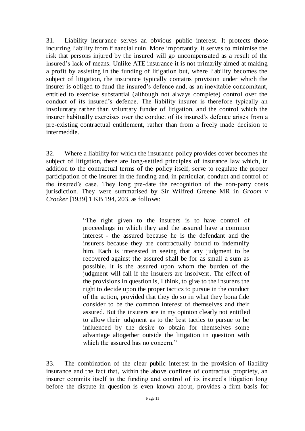31. Liability insurance serves an obvious public interest. It protects those incurring liability from financial ruin. More importantly, it serves to minimise the risk that persons injured by the insured will go uncompensated as a result of the insured's lack of means. Unlike ATE insurance it is not primarily aimed at making a profit by assisting in the funding of litigation but, where liability becomes the subject of litigation, the insurance typically contains provision under which the insurer is obliged to fund the insured's defence and, as an inevitable concomitant, entitled to exercise substantial (although not always complete) control over the conduct of its insured's defence. The liability insurer is therefore typically an involuntary rather than voluntary funder of litigation, and the control which the insurer habitually exercises over the conduct of its insured's defence arises from a pre-existing contractual entitlement, rather than from a freely made decision to intermeddle.

32. Where a liability for which the insurance policy provides cover becomes the subject of litigation, there are long-settled principles of insurance law which, in addition to the contractual terms of the policy itself, serve to regulate the proper participation of the insurer in the funding and, in particular, conduct and control of the insured's case. They long pre-date the recognition of the non-party costs jurisdiction. They were summarised by Sir Wilfred Greene MR in *Groom v Crocker* [1939] 1 KB 194, 203, as follows:

> "The right given to the insurers is to have control of proceedings in which they and the assured have a common interest - the assured because he is the defendant and the insurers because they are contractually bound to indemnify him. Each is interested in seeing that any judgment to be recovered against the assured shall be for as small a sum as possible. It is the assured upon whom the burden of the judgment will fall if the insurers are insolvent. The effect of the provisions in question is, I think, to give to the insurers the right to decide upon the proper tactics to pursue in the conduct of the action, provided that they do so in what they bona fide consider to be the common interest of themselves and their assured. But the insurers are in my opinion clearly not entitled to allow their judgment as to the best tactics to pursue to be influenced by the desire to obtain for themselves some advantage altogether outside the litigation in question with which the assured has no concern."

33. The combination of the clear public interest in the provision of liability insurance and the fact that, within the above confines of contractual propriety, an insurer commits itself to the funding and control of its insured's litigation long before the dispute in question is even known about, provides a firm basis for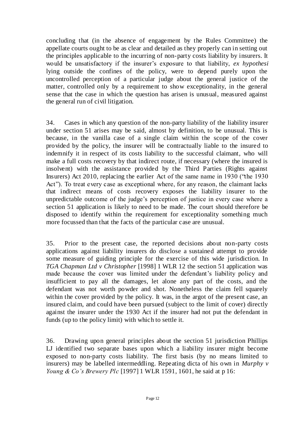concluding that (in the absence of engagement by the Rules Committee) the appellate courts ought to be as clear and detailed as they properly can in setting out the principles applicable to the incurring of non-party costs liability by insurers. It would be unsatisfactory if the insurer's exposure to that liability, *ex hypothesi* lying outside the confines of the policy, were to depend purely upon the uncontrolled perception of a particular judge about the general justice of the matter, controlled only by a requirement to show exceptionality, in the general sense that the case in which the question has arisen is unusual, measured against the general run of civil litigation.

34. Cases in which any question of the non-party liability of the liability insurer under section 51 arises may be said, almost by definition, to be unusual. This is because, in the vanilla case of a single claim within the scope of the cover provided by the policy, the insurer will be contractually liable to the insured to indemnify it in respect of its costs liability to the successful claimant, who will make a full costs recovery by that indirect route, if necessary (where the insured is insolvent) with the assistance provided by the Third Parties (Rights against Insurers) Act 2010, replacing the earlier Act of the same name in 1930 ("the 1930 Act"). To treat every case as exceptional where, for any reason, the claimant lacks that indirect means of costs recovery exposes the liability insurer to the unpredictable outcome of the judge's perception of justice in every case where a section 51 application is likely to need to be made. The court should therefore be disposed to identify within the requirement for exceptionality something much more focussed than that the facts of the particular case are unusual.

35. Prior to the present case, the reported decisions about non-party costs applications against liability insurers do disclose a sustained attempt to provide some measure of guiding principle for the exercise of this wide jurisdiction. In *TGA Chapman Ltd v Christopher* [1998] 1 WLR 12 the section 51 application was made because the cover was limited under the defendant's liability policy and insufficient to pay all the damages, let alone any part of the costs, and the defendant was not worth powder and shot. Nonetheless the claim fell squarely within the cover provided by the policy. It was, in the argot of the present case, an insured claim, and could have been pursued (subject to the limit of cover) directly against the insurer under the 1930 Act if the insurer had not put the defendant in funds (up to the policy limit) with which to settle it.

36. Drawing upon general principles about the section 51 jurisdiction Phillips LJ identified two separate bases upon which a liability insurer might become exposed to non-party costs liability. The first basis (by no means limited to insurers) may be labelled intermeddling. Repeating dicta of his own in *Murphy v Young & Co's Brewery Plc* [1997] 1 WLR 1591, 1601, he said at p 16: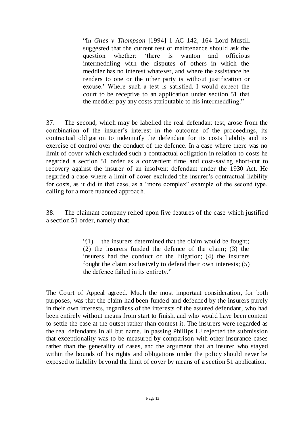"In *Giles v Thompson* [1994] 1 AC 142, 164 Lord Mustill suggested that the current test of maintenance should ask the question whether: 'there is wanton and officious intermeddling with the disputes of others in which the meddler has no interest whatever, and where the assistance he renders to one or the other party is without justification or excuse.' Where such a test is satisfied, I would expect the court to be receptive to an application under section 51 that the meddler pay any costs attributable to his intermeddling."

37. The second, which may be labelled the real defendant test, arose from the combination of the insurer's interest in the outcome of the proceedings, its contractual obligation to indemnify the defendant for its costs liability and its exercise of control over the conduct of the defence. In a case where there was no limit of cover which excluded such a contractual obligation in relation to costs he regarded a section 51 order as a convenient time and cost-saving short-cut to recovery against the insurer of an insolvent defendant under the 1930 Act. He regarded a case where a limit of cover excluded the insurer's contractual liability for costs, as it did in that case, as a "more complex" example of the second type, calling for a more nuanced approach.

38. The claimant company relied upon five features of the case which justified a section 51 order, namely that:

> "(1) the insurers determined that the claim would be fought; (2) the insurers funded the defence of the claim; (3) the insurers had the conduct of the litigation; (4) the insurers fought the claim exclusively to defend their own interests; (5) the defence failed in its entirety."

The Court of Appeal agreed. Much the most important consideration, for both purposes, was that the claim had been funded and defended by the insurers purely in their own interests, regardless of the interests of the assured defendant, who had been entirely without means from start to finish, and who would have been content to settle the case at the outset rather than contest it. The insurers were regarded as the real defendants in all but name. In passing Phillips LJ rejected the submission that exceptionality was to be measured by comparison with other insurance cases rather than the generality of cases, and the argument that an insurer who stayed within the bounds of his rights and obligations under the policy should never be exposed to liability beyond the limit of cover by means of a section 51 application.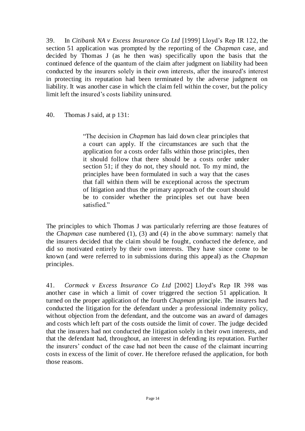39. In *Citibank NA v Excess Insurance Co Ltd* [1999] Lloyd's Rep IR 122, the section 51 application was prompted by the reporting of the *Chapman* case, and decided by Thomas J (as he then was) specifically upon the basis that the continued defence of the quantum of the claim after judgment on liability had been conducted by the insurers solely in their own interests, after the insured's interest in protecting its reputation had been terminated by the adverse judgment on liability. It was another case in which the claim fell within the cover, but the policy limit left the insured's costs liability uninsured.

40. Thomas J said, at p 131:

"The decision in *Chapman* has laid down clear principles that a court can apply. If the circumstances are such that the application for a costs order falls within those principles, then it should follow that there should be a costs order under section 51; if they do not, they should not. To my mind, the principles have been formulated in such a way that the cases that fall within them will be exceptional across the spectrum of litigation and thus the primary approach of the court should be to consider whether the principles set out have been satisfied."

The principles to which Thomas J was particularly referring are those features of the *Chapman* case numbered (1), (3) and (4) in the above summary: namely that the insurers decided that the claim should be fought, conducted the defence, and did so motivated entirely by their own interests. They have since come to be known (and were referred to in submissions during this appeal) as the *Chapman* principles.

41. *Cormack v Excess Insurance Co Ltd* [2002] Lloyd's Rep IR 398 was another case in which a limit of cover triggered the section 51 application. It turned on the proper application of the fourth *Chapman* principle. The insurers had conducted the litigation for the defendant under a professional indemnity policy, without objection from the defendant, and the outcome was an award of damages and costs which left part of the costs outside the limit of cover. The judge decided that the insurers had not conducted the litigation solely in their own interests, and that the defendant had, throughout, an interest in defending its reputation. Further the insurers' conduct of the case had not been the cause of the claimant incurring costs in excess of the limit of cover. He t herefore refused the application, for both those reasons.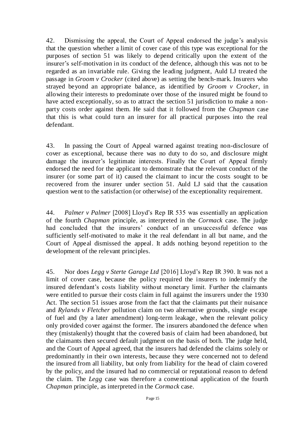42. Dismissing the appeal, the Court of Appeal endorsed the judge's analysis that the question whether a limit of cover case of this type was exceptional for the purposes of section 51 was likely to depend critically upon the extent of the insurer's self-motivation in its conduct of the defence, although this was not to be regarded as an invariable rule. Giving the leading judgment, Auld LJ treated the passage in *Groom v Crocker* (cited above) as setting the bench-mark. Insurers who strayed beyond an appropriate balance, as identified by *Groom v Crocker*, in allowing their interests to predominate over those of the insured might be found to have acted exceptionally, so as to attract the section 51 jurisdiction to make a nonparty costs order against them. He said that it followed from the *Chapman* case that this is what could turn an insurer for all practical purposes into the real defendant.

43. In passing the Court of Appeal warned against treating non-disclosure of cover as exceptional, because there was no duty to do so, and disclosure might damage the insurer's legitimate interests. Finally the Court of Appeal firmly endorsed the need for the applicant to demonstrate that the relevant conduct of the insurer (or some part of it) caused the claimant to incur the costs sought to be recovered from the insurer under section 51. Auld LJ said that the causation question went to the satisfaction (or otherwise) of the exceptionality requirement.

44. *Palmer v Palmer* [2008] Lloyd's Rep IR 535 was essentially an application of the fourth *Chapman* principle, as interpreted in the *Cormack* case. The judge had concluded that the insurers' conduct of an unsuccessful defence was sufficiently self-motivated to make it the real defendant in all but name, and the Court of Appeal dismissed the appeal. It adds nothing beyond repetition to the development of the relevant principles.

45. Nor does *Legg v Sterte Garage Ltd* [2016] Lloyd's Rep IR 390. It was not a limit of cover case, because the policy required the insurers to indemnify the insured defendant's costs liability without monetary limit. Further the claimants were entitled to pursue their costs claim in full against the insurers under the 1930 Act. The section 51 issues arose from the fact that the claimants put their nuisance and *Rylands v Fletcher* pollution claim on two alternative grounds, single escape of fuel and (by a later amendment) long-term leakage, when the relevant policy only provided cover against the former. The insurers abandoned the defence when they (mistakenly) thought that the covered basis of claim had been abandoned, but the claimants then secured default judgment on the basis of both. The judge held, and the Court of Appeal agreed, that the insurers had defended the claims solely or predominantly in their own interests, because they were concerned not to defend the insured from all liability, but only from liability for the head of claim covered by the policy, and the insured had no commercial or reputational reason to defend the claim. The *Legg* case was therefore a conventional application of the fourth *Chapman* principle, as interpreted in the *Cormack* case.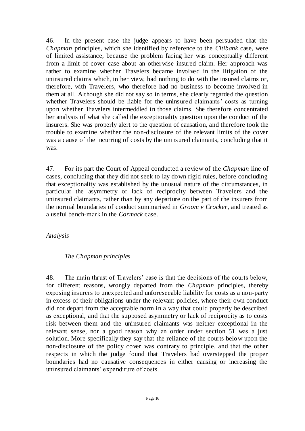46. In the present case the judge appears to have been persuaded that the *Chapman* principles, which she identified by reference to the *Citibank* case, were of limited assistance, because the problem facing her was conceptually different from a limit of cover case about an otherwise insured claim. Her approach was rather to examine whether Travelers became involved in the litigation of the uninsured claims which, in her view, had nothing to do with the insured claims or, therefore, with Travelers, who therefore had no business to become involved in them at all. Although she did not say so in terms, she clearly regarded the question whether Travelers should be liable for the uninsured claimants' costs as turning upon whether Travelers intermeddled in those claims. She therefore concentrated her analysis of what she called the exceptionality question upon the conduct of the insurers. She was properly alert to the question of causation, and therefore took the trouble to examine whether the non-disclosure of the relevant limits of the cover was a cause of the incurring of costs by the uninsured claimants, concluding that it was.

47. For its part the Court of Appeal conducted a review of the *Chapman* line of cases, concluding that they did not seek to lay down rigid rules, before concluding that exceptionality was established by the unusual nature of the circumstances, in particular the asymmetry or lack of reciprocity between Travelers and the uninsured claimants, rather than by any departure on the part of the insurers from the normal boundaries of conduct summarised in *Groom v Crocker,* and treated as a useful bench-mark in the *Cormack* case.

*Analysis*

# *The Chapman principles*

48. The main thrust of Travelers' case is that the decisions of the courts below, for different reasons, wrongly departed from the *Chapman* principles, thereby exposing insurers to unexpected and unforeseeable liability for costs as a non-party in excess of their obligations under the relevant policies, where their own conduct did not depart from the acceptable norm in a way that could properly be described as exceptional, and that the supposed asymmetry or lack of reciprocity as to costs risk between them and the uninsured claimants was neither exceptional in the relevant sense, nor a good reason why an order under section 51 was a just solution. More specifically they say that the reliance of the courts below upon the non-disclosure of the policy cover was contrary to principle, and that the other respects in which the judge found that Travelers had overstepped the proper boundaries had no causative consequences in either causing or increasing the uninsured claimants' expenditure of costs.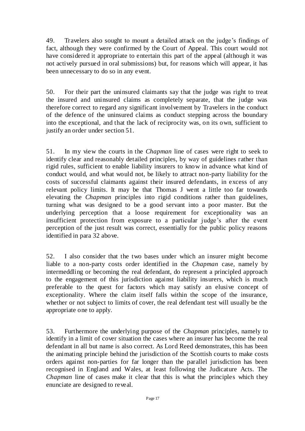49. Travelers also sought to mount a detailed attack on the judge's findings of fact, although they were confirmed by the Court of Appeal. This court would not have considered it appropriate to entertain this part of the appeal (although it was not actively pursued in oral submissions) but, for reasons which will appear, it has been unnecessary to do so in any event.

50. For their part the uninsured claimants say that the judge was right to treat the insured and uninsured claims as completely separate, that the judge was therefore correct to regard any significant involvement by Travelers in the conduct of the defence of the uninsured claims as conduct stepping across the boundary into the exceptional, and that the lack of reciprocity was, on its own, sufficient to justify an order under section 51.

51. In my view the courts in the *Chapman* line of cases were right to seek to identify clear and reasonably detailed principles, by way of guidelines rather than rigid rules, sufficient to enable liability insurers to know in advance what kind of conduct would, and what would not, be likely to attract non-party liability for the costs of successful claimants against their insured defendants, in excess of any relevant policy limits. It may be that Thomas J went a little too far towards elevating the *Chapman* principles into rigid conditions rather than guidelines, turning what was designed to be a good servant into a poor master. But the underlying perception that a loose requirement for exceptionality was an insufficient protection from exposure to a particular judge's after the event perception of the just result was correct, essentially for the public policy reasons identified in para 32 above.

52. I also consider that the two bases under which an insurer might become liable to a non-party costs order identified in the *Chapman* case, namely by intermeddling or becoming the real defendant, do represent a principled approach to the engagement of this jurisdiction against liability insurers, which is much preferable to the quest for factors which may satisfy an elusive concept of exceptionality. Where the claim itself falls within the scope of the insurance, whether or not subject to limits of cover, the real defendant test will usually be the appropriate one to apply.

53. Furthermore the underlying purpose of the *Chapman* principles, namely to identify in a limit of cover situation the cases where an insurer has become the real defendant in all but name is also correct. As Lord Reed demonstrates, this has been the animating principle behind the jurisdiction of the Scottish courts to make costs orders against non-parties for far longer than the parallel jurisdiction has been recognised in England and Wales, at least following the Judicature Acts. The *Chapman* line of cases make it clear that this is what the principles which they enunciate are designed to reveal.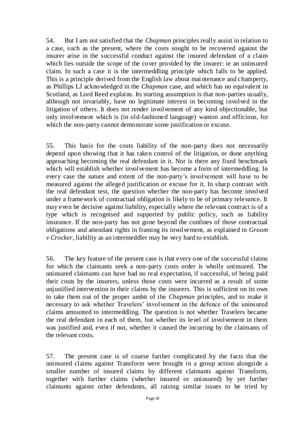54. But I am not satisfied that the *Chapman* principles really assist in relation to a case, such as the present, where the costs sought to be recovered against the insurer arise in the successful conduct against the insured defendant of a claim which lies outside the scope of the cover provided by the insurer: ie an uninsured claim. In such a case it is the intermeddling principle which falls to be applied. This is a principle derived from the English law about mai ntenance and champerty, as Phillips LJ acknowledged in the *Chapman* case, and which has no equivalent in Scotland, as Lord Reed explains. Its starting assumption is that non-parties usually, although not invariably, have no legitimate interest in becoming involved in the litigation of others. It does not render involvement of any kind objectionable, but only involvement which is (in old-fashioned language) wanton and officious, for which the non-party cannot demonstrate some justification or excuse.

55. This basis for the costs liability of the non-party does not necessarily depend upon showing that it has taken control of the litigation, or done anything approaching becoming the real defendant in it. Nor is there any fixed benchmark which will establish whether involvement has become a form of intermeddling. In every case the nature and extent of the non-party's involvement will have to be measured against the alleged justification or excuse for it. In sharp contrast with the real defendant test, the question whether the non-party has become involved under a framework of contractual obligation is likely to be of primary relevance. It may even be decisive against liability, especially where the relevant contract is of a type which is recognised and supported by public policy, such as liability insurance. If the non-party has not gone beyond the confines of those contractual obligations and attendant rights in framing its involvement, as explained in *Groom v Crocker*, liability as an intermeddler may be very hard to establish.

56. The key feature of the present case is that every one of the successful claims for which the claimants seek a non-party costs order is wholly uninsured. The uninsured claimants can have had no real expectation, if successful, of being paid their costs by the insurers, unless those costs were incurred as a result of some unjustified intervention in their claims by the insurers. This is sufficient on its own to take them out of the proper ambit of the *Chapman* principles, and to make it necessary to ask whether Travelers' involvement in the defence of the uninsured claims amounted to intermeddling. The question is not whether Travelers became the real defendant in each of them, but whether its level of involvement in them was justified and, even if not, whether it caused the incurring by the claimants of the relevant costs.

57. The present case is of course further complicated by the facts that the uninsured claims against Transform were brought in a group action alongside a smaller number of insured claims by different claimants against Transform, together with further claims (whether insured or uninsured) by yet further claimants against other defendants, all raising similar issues to be tried by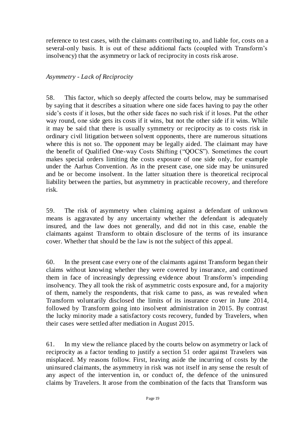reference to test cases, with the claimants contributing to, and liable for, costs on a several-only basis. It is out of these additional facts (coupled with Transform's insolvency) that the asymmetry or lack of reciprocity in costs risk arose.

#### *Asymmetry - Lack of Reciprocity*

58. This factor, which so deeply affected the courts below, may be summarised by saying that it describes a situation where one side faces having to pay the other side's costs if it loses, but the other side faces no such risk if it loses. Put the other way round, one side gets its costs if it wins, but not the other side if it wins. While it may be said that there is usually symmetry or reciprocity as to costs risk in ordinary civil litigation between solvent opponents, there are numerous situations where this is not so. The opponent may be legally aided. The claimant may have the benefit of Qualified One-way Costs Shifting ("QOCS"). Sometimes the court makes special orders limiting the costs exposure of one side only, for example under the Aarhus Convention. As in the present case, one side may be uninsured and be or become insolvent. In the latter situation there is theoretical reciprocal liability between the parties, but asymmetry in practicable recovery, and therefore risk.

59. The risk of asymmetry when claiming against a defendant of unknown means is aggravated by any uncertainty whether the defendant is adequately insured, and the law does not generally, and did not in this case, enable the claimants against Transform to obtain disclosure of the terms of its insurance cover. Whether that should be the law is not the subject of this appeal.

60. In the present case every one of the claimants against Transform began their claims without knowing whether they were covered by insurance, and continued them in face of increasingly depressing evidence about Tr ansform's impending insolvency. They all took the risk of asymmetric costs exposure and, for a majority of them, namely the respondents, that risk came to pass, as was revealed when Transform voluntarily disclosed the limits of its insurance cover in June 2014, followed by Transform going into insolvent administration in 2015. By contrast the lucky minority made a satisfactory costs recovery, funded by Travelers, when their cases were settled after mediation in August 2015.

61. In my view the reliance placed by the courts below on asymmetry or lack of reciprocity as a factor tending to justify a section 51 order against Travelers was misplaced. My reasons follow. First, leaving aside the incurring of costs by the uninsured claimants, the asymmetry in risk was not itself in any sense the result of any aspect of the intervention in, or conduct of, the defence of the uninsured claims by Travelers. It arose from the combination of the facts that Transform was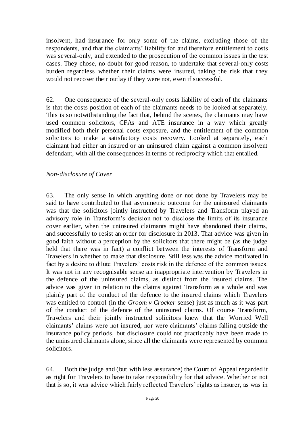insolvent, had insurance for only some of the claims, excluding those of the respondents, and that the claimants' liability for and therefore entitlement to costs was several-only, and extended to the prosecution of the common issues in the test cases. They chose, no doubt for good reason, to undertake that several-only costs burden regardless whether their claims were insured, taking the risk that they would not recover their outlay if they were not, even if successful.

62. One consequence of the several-only costs liability of each of the claimants is that the costs position of each of the claimants needs to be looked at separately. This is so notwithstanding the fact that, behind the scenes, the claimants may have used common solicitors, CFAs and ATE insurance in a way which greatly modified both their personal costs exposure, and the entitlement of the common solicitors to make a satisfactory costs recovery. Looked at separately, each claimant had either an insured or an uninsured claim against a common insolvent defendant, with all the consequences in terms of reciprocity which that entailed.

# *Non-disclosure of Cover*

63. The only sense in which anything done or not done by Travelers may be said to have contributed to that asymmetric outcome for the uninsured claimants was that the solicitors jointly instructed by Travelers and Transform played an advisory role in Transform's decision not to disclose the limits of its insurance cover earlier, when the uninsured claimants might have abandoned their claims, and successfully to resist an order for disclosure in 2013. That advice was given in good faith without a perception by the solicitors that there might be (as the judge held that there was in fact) a conflict between the interests of Transform and Travelers in whether to make that disclosure. Still less was the advice motivated in fact by a desire to dilute Travelers' costs risk in the defence of the common issues. It was not in any recognisable sense an inappropriate intervention by Travelers in the defence of the uninsured claims, as distinct from the insured claims. The advice was given in relation to the claims against Transform as a whole and was plainly part of the conduct of the defence to the insured claims which Travelers was entitled to control (in the *Groom v Crocker* sense) just as much as it was part of the conduct of the defence of the uninsured claims. Of course Transform, Travelers and their jointly instructed solicitors knew that the Worried Well claimants' claims were not insured, nor were claimants' claims falling outside the insurance policy periods, but disclosure could not practicably have been made to the uninsured claimants alone, since all the claimants were represented by common solicitors.

64. Both the judge and (but with less assurance) the Court of Appeal regarded it as right for Travelers to have to take responsibility for that advice. Whether or not that is so, it was advice which fairly reflected Travelers' rights as insurer, as was in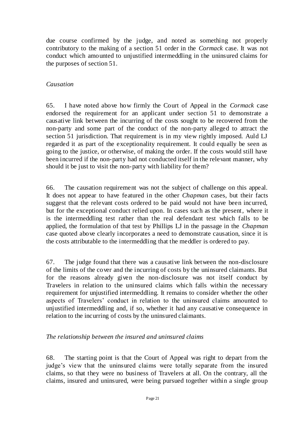due course confirmed by the judge, and noted as something not properly contributory to the making of a section 51 order in the *Cormack* case. It was not conduct which amounted to unjustified intermeddling in the uninsured claims for the purposes of section 51.

# *Causation*

65. I have noted above how firmly the Court of Appeal in the *Cormack* case endorsed the requirement for an applicant under section 51 to demonstrate a causative link between the incurring of the costs sought to be recovered from the non-party and some part of the conduct of the non-party alleged to attract the section 51 jurisdiction. That requirement is in my view rightly imposed. Auld LJ regarded it as part of the exceptionality requirement. It could equally be seen as going to the justice, or otherwise, of making the order. If the costs would still have been incurred if the non-party had not conducted itself in the relevant manner, why should it be just to visit the non-party with liability for them?

66. The causation requirement was not the subject of challenge on this appeal. It does not appear to have featured in the other *Chapman* cases, but their facts suggest that the relevant costs ordered to be paid would not have been incurred, but for the exceptional conduct relied upon. In cases such as the present, where it is the intermeddling test rather than the real defendant test which falls to be applied, the formulation of that test by Phillips LJ in the passage in the *Chapman* case quoted above clearly incorporates a need to demonstrate causation, since it is the costs attributable to the intermeddling that the meddler is ordered to pay.

67. The judge found that there was a causative link between the non-disclosure of the limits of the cover and the incurring of costs by the uninsured claimants. But for the reasons already given the non-disclosure was not itself conduct by Travelers in relation to the uninsured claims which falls within the necessary requirement for unjustified intermeddling. It remains to consider whether the other aspects of Travelers' conduct in relation to the uninsured claims amounted to unjustified intermeddling and, if so, whether it had any causative consequence in relation to the incurring of costs by the uninsured claimants.

# *The relationship between the insured and uninsured claims*

68. The starting point is that the Court of Appeal was right to depart from the judge's view that the uninsured claims were totally separate from the insured claims, so that they were no business of Travelers at all. On the contrary, all the claims, insured and uninsured, were being pursued together within a single group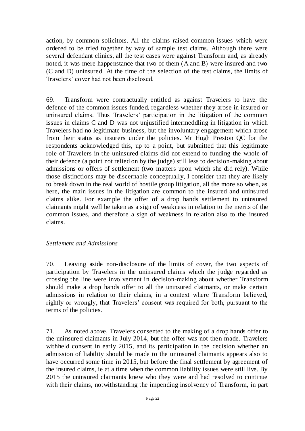action, by common solicitors. All the claims raised common issues which were ordered to be tried together by way of sample test claims. Although there were several defendant clinics, all the test cases were against Transform and, as already noted, it was mere happenstance that two of them (A and B) were insured and two (C and D) uninsured. At the time of the selection of the test claims, the limits of Travelers' cover had not been disclosed.

69. Transform were contractually entitled as against Travelers to have the defence of the common issues funded, regardless whether they arose in insured or uninsured claims. Thus Travelers' participation in the litigation of the common issues in claims C and D was not unjustified intermeddling in litigation in which Travelers had no legitimate business, but the involuntary engagement which arose from their status as insurers under the policies. Mr Hugh Preston QC for the respondents acknowledged this, up to a point, but submitted that this legitimate role of Travelers in the uninsured claims did not extend to funding the whole of their defence (a point not relied on by the judge) still less to decision-making about admissions or offers of settlement (two matters upon which she did rely). While those distinctions may be discernable conceptually, I consider that they are likely to break down in the real world of hostile group litigation, all the more so when, as here, the main issues in the litigation are common to the insured and uninsured claims alike. For example the offer of a drop hands settlement to uninsured claimants might well be taken as a sign of weakness in relation to the merits of the common issues, and therefore a sign of weakness in relation also to the insured claims.

# *Settlement and Admissions*

70. Leaving aside non-disclosure of the limits of cover, the two aspects of participation by Travelers in the uninsured claims which the judge regarded as crossing the line were involvement in decision-making about whether Transform should make a drop hands offer to all the uninsured claimants, or make certain admissions in relation to their claims, in a context where Transform believed, rightly or wrongly, that Travelers' consent was required for both, pursuant to the terms of the policies.

71. As noted above, Travelers consented to the making of a drop hands offer to the uninsured claimants in July 2014, but the offer was not then made. Travelers withheld consent in early 2015, and its participation in the decision whether an admission of liability should be made to the uninsured claimants appears also to have occurred some time in 2015, but before the final settlement by agreement of the insured claims, ie at a time when the common liability issues were still live. By 2015 the uninsured claimants knew who they were and had resolved to continue with their claims, notwithstanding the impending insolvency of Transform, in part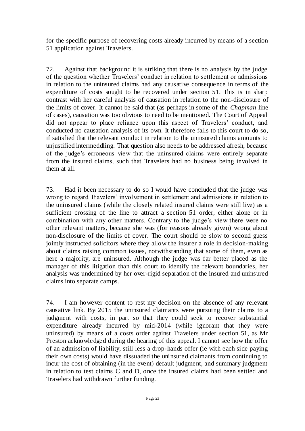for the specific purpose of recovering costs already incurred by means of a section 51 application against Travelers.

72. Against that background it is striking that there is no analysis by the judge of the question whether Travelers' conduct in relation to settlement or admissions in relation to the uninsured claims had any causative consequence in terms of the expenditure of costs sought to be recovered under section 51. This is in sharp contrast with her careful analysis of causation in relation to the non-disclosure of the limits of cover. It cannot be said that (as perhaps in some of the *Chapman* line of cases), causation was too obvious to need to be mentioned. The Court of Appeal did not appear to place reliance upon this aspect of Travelers' conduct, and conducted no causation analysis of its own. It therefore falls to this court to do so, if satisfied that the relevant conduct in relation to the uninsured claims amounts to unjustified intermeddling. That question also needs to be addressed afresh, because of the judge's erroneous view that the uninsured claims were entirely separate from the insured claims, such that Travelers had no business being involved in them at all.

73. Had it been necessary to do so I would have concluded that the judge was wrong to regard Travelers' involvement in settlement and admissions in relation to the uninsured claims (while the closely related insured claims were still live) as a sufficient crossing of the line to attract a section 51 order, either alone or in combination with any other matters. Contrary to the judge's view there were no other relevant matters, because she was (for reasons already given) wrong about non-disclosure of the limits of cover. The court should be slow to second guess jointly instructed solicitors where they allow the insurer a role in decision-making about claims raising common issues, notwithstanding that some of them, even as here a majority, are uninsured. Although the judge was far better placed as the manager of this litigation than this court to identify the relevant boundaries, her analysis was undermined by her over-rigid separation of the insured and uninsured claims into separate camps.

74. I am however content to rest my decision on the absence of any relevant causative link. By 2015 the uninsured claimants were pursuing their claims to a judgment with costs, in part so that they could seek to recover substantial expenditure already incurred by mid-2014 (while ignorant that they were uninsured) by means of a costs order against Travelers under section 51, as Mr Preston acknowledged during the hearing of this appeal. I cannot see how the offer of an admission of liability, still less a drop-hands offer (ie with each side paying their own costs) would have dissuaded the uninsured claimants from continuing to incur the cost of obtaining (in the event) default judgment, and summary judgment in relation to test claims C and D, once the insured claims had been settled and Travelers had withdrawn further funding.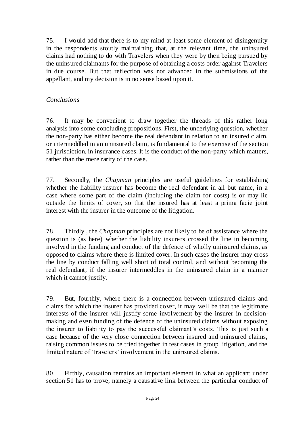75. I would add that there is to my mind at least some element of disingenuity in the respondents stoutly maintaining that, at the relevant time, the uninsured claims had nothing to do with Travelers when they were by then being pursued by the uninsured claimants for the purpose of obtaining a costs order against Travelers in due course. But that reflection was not advanced in the submissions of the appellant, and my decision is in no sense based upon it.

# *Conclusions*

76. It may be convenient to draw together the threads of this rather long analysis into some concluding propositions. First, the underlying question, whether the non-party has either become the real defendant in relation to an insured claim, or intermeddled in an uninsured claim, is fundamental to the exercise of the section 51 jurisdiction, in insurance cases. It is the conduct of the non-party which matters, rather than the mere rarity of the case.

77. Secondly, the *Chapman* principles are useful guidelines for establishing whether the liability insurer has become the real defendant in all but name, in a case where some part of the claim (including the claim for costs) is or may lie outside the limits of cover, so that the insured has at least a prima facie joint interest with the insurer in the outcome of the litigation.

78. Thirdly , the *Chapman* principles are not likely to be of assistance where the question is (as here) whether the liability insurers crossed the line in becoming involved in the funding and conduct of the defence of wholly uninsured claims, as opposed to claims where there is limited cover. In such cases the insurer may cross the line by conduct falling well short of total control, and without becoming the real defendant, if the insurer intermeddles in the uninsured claim in a manner which it cannot justify.

79. But, fourthly, where there is a connection between uninsured claims and claims for which the insurer has provided cover, it may well be that the legitimate interests of the insurer will justify some involvement by the insurer in decisionmaking and even funding of the defence of the uninsured claims without exposing the insurer to liability to pay the successful claimant's costs. This is just such a case because of the very close connection between insured and uninsured claims, raising common issues to be tried together in test cases in group litigation, and the limited nature of Travelers' involvement in the uninsured claims.

80. Fifthly, causation remains an important element in what an applicant under section 51 has to prove, namely a causative link between the particular conduct of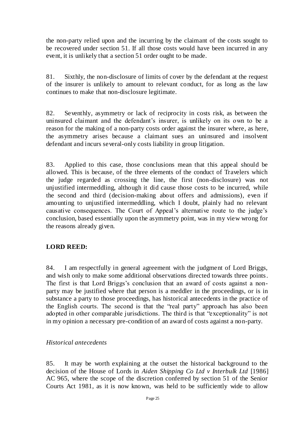the non-party relied upon and the incurring by the claimant of the costs sought to be recovered under section 51. If all those costs would have been incurred in any event, it is unlikely that a section 51 order ought to be made.

81. Sixthly, the non-disclosure of limits of cover by the defendant at the request of the insurer is unlikely to amount to relevant conduct, for as long as the law continues to make that non-disclosure legitimate.

82. Seventhly, asymmetry or lack of reciprocity in costs risk, as between the uninsured claimant and the defendant's insurer, is unlikely on its own to be a reason for the making of a non-party costs order against the insurer where, as here, the asymmetry arises because a claimant sues an uninsured and insolvent defendant and incurs several-only costs liability in group litigation.

83. Applied to this case, those conclusions mean that this appeal should be allowed. This is because, of the three elements of the conduct of Travelers which the judge regarded as crossing the line, the first (non-disclosure) was not unjustified intermeddling, although it did cause those costs to be incurred, while the second and third (decision-making about offers and admissions), even if amounting to unjustified intermeddling, which I doubt, plainly had no relevant causative consequences. The Court of Appeal's alternative route to the judge's conclusion, based essentially upon the asymmetry point, was in my view wrong for the reasons already given.

# **LORD REED:**

84. I am respectfully in general agreement with the judgment of Lord Briggs, and wish only to make some additional observations directed towards three points. The first is that Lord Briggs's conclusion that an award of costs against a nonparty may be justified where that person is a meddler in the proceedings, or is in substance a party to those proceedings, has historical antecedents in the practice of the English courts. The second is that the "real party" approach has also been adopted in other comparable jurisdictions. The third is that "exceptionality" is not in my opinion a necessary pre-condition of an award of costs against a non-party.

# *Historical antecedents*

85. It may be worth explaining at the outset the historical background to the decision of the House of Lords in *Aiden Shipping Co Ltd v Interbulk Ltd* [1986] AC 965, where the scope of the discretion conferred by section 51 of the Senior Courts Act 1981, as it is now known, was held to be sufficiently wide to allow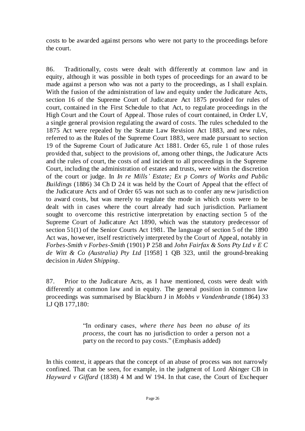costs to be awarded against persons who were not party to the proceedings before the court.

86. Traditionally, costs were dealt with differently at common law and in equity, although it was possible in both types of proceedings for an award to be made against a person who was not a party to the proceedings, as I shall explain. With the fusion of the administration of law and equity under the Judicature Acts, section 16 of the Supreme Court of Judicature Act 1875 provided for rules of court, contained in the First Schedule to that Act, to regulate proceedings in the High Court and the Court of Appeal. Those rules of court contained, in Order LV, a single general provision regulating the award of costs. The rules scheduled to the 1875 Act were repealed by the Statute Law Revision Act 1883, and new rules, referred to as the Rules of the Supreme Court 1883, were made pursuant to section 19 of the Supreme Court of Judicature Act 1881. Order 65, rule 1 of those rules provided that, subject to the provisions of, among other things, the Judicature Acts and the rules of court, the costs of and incident to all proceedings in the Supreme Court, including the administration of estates and trusts, were within the discretion of the court or judge. In *In re Mills' Estate; Ex p Comrs of Works and Public Buildings* (1886) 34 Ch D 24 it was held by the Court of Appeal that the effect of the Judicature Acts and of Order 65 was not such as to confer any new jurisdiction to award costs, but was merely to regulate the mode in which costs were to be dealt with in cases where the court already had such jurisdiction. Parliament sought to overcome this restrictive interpretation by enacting section 5 of the Supreme Court of Judicature Act 1890, which was the statutory predecessor of section 51(1) of the Senior Courts Act 1981. The language of section 5 of the 1890 Act was, however, itself restrictively interpreted by the Court of Appeal, notably in *Forbes-Smith v Forbes-Smith* (1901) P 258 and *John Fairfax & Sons Pty Ltd v E C de Witt & Co (Australia) Pty Ltd* [1958] 1 QB 323, until the ground-breaking decision in *Aiden Shipping*.

87. Prior to the Judicature Acts, as I have mentioned, costs were dealt with differently at common law and in equity. The general position in common law proceedings was summarised by Blackburn J in *Mobbs v Vandenbrande* (1864) 33 LJ QB 177,180:

> "In ordinary cases, *where there has been no abuse of its process*, the court has no jurisdiction to order a person not a party on the record to pay costs." (Emphasis added)

In this context, it appears that the concept of an abuse of process was not narrowly confined. That can be seen, for example, in the judgment of Lord Abinger CB in *Hayward v Giffard* (1838) 4 M and W 194. In that case, the Court of Exchequer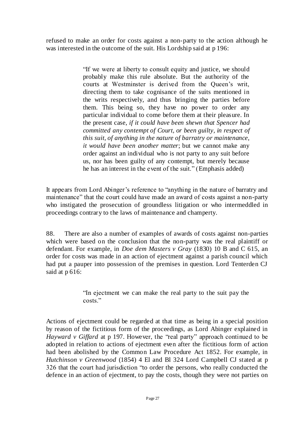refused to make an order for costs against a non-party to the action although he was interested in the outcome of the suit. His Lordship said at p 196:

> "If we were at liberty to consult equity and justice, we should probably make this rule absolute. But the authority of the courts at Westminster is derived from the Queen's writ, directing them to take cognisance of the suits mentioned in the writs respectively, and thus bringing the parties before them. This being so, they have no power to order any particular individual to come before them at their pleasure. In the present case, *if it could have been shewn that Spencer had committed any contempt of Court, or been guilty, in respect of this suit, of anything in the nature of barratry or maintenance, it would have been another matter*; but we cannot make any order against an individual who is not party to any suit before us, nor has been guilty of any contempt, but merely because he has an interest in the event of the suit." (Emphasis added)

It appears from Lord Abinger's reference to "anything in the nature of barratry and maintenance" that the court could have made an award of costs against a non-party who instigated the prosecution of groundless litigation or who intermeddled in proceedings contrary to the laws of maintenance and champerty.

88. There are also a number of examples of awards of costs against non-parties which were based on the conclusion that the non-party was the real plaintiff or defendant. For example, in *Doe dem Masters v Gray* (1830) 10 B and C 615, an order for costs was made in an action of ejectment against a parish council which had put a pauper into possession of the premises in question. Lord Tenterden CJ said at p 616:

> "In ejectment we can make the real party to the suit pay the costs."

Actions of ejectment could be regarded at that time as being in a special position by reason of the fictitious form of the proceedings, as Lord Abinger explained in *Hayward v Giffard* at p 197. However, the "real party" approach continued to be adopted in relation to actions of ejectment even after the fictitious form of action had been abolished by the Common Law Procedure Act 1852. For example, in *Hutchinson v Greenwood* (1854) 4 El and Bl 324 Lord Campbell CJ stated at p 326 that the court had jurisdiction "to order the persons, who really conducted the defence in an action of ejectment, to pay the costs, though they were not parties on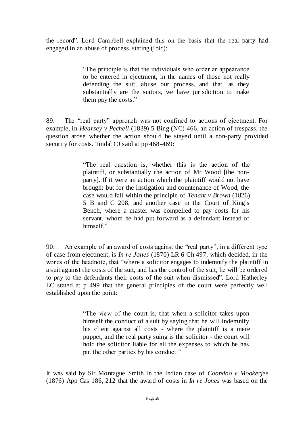the record". Lord Campbell explained this on the basis that the real party had engaged in an abuse of process, stating (ibid):

> "The principle is that the individuals who order an appearance to be entered in ejectment, in the names of those not really defending the suit, abuse our process, and that, as they substantially are the suitors, we have jurisdiction to make them pay the costs."

89. The "real party" approach was not confined to actions of ejectment. For example, in *Hearsey v Pechell* (1839) 5 Bing (NC) 466, an action of trespass, the question arose whether the action should be stayed until a non-party provided security for costs. Tindal CJ said at pp 468-469:

> "The real question is, whether this is the action of the plaintiff, or substantially the action of Mr Wood [the nonparty]. If it were an action which the plaintiff would not have brought but for the instigation and countenance of Wood, the case would fall within the principle of *Tenant v Brown* (1826) 5 B and C 208, and another case in the Court of King's Bench, where a master was compelled to pay costs for his servant, whom he had put forward as a defendant instead of himself."

90. An example of an award of costs against the "real party", in a different type of case from ejectment, is *In re Jones* (1870) LR 6 Ch 497, which decided, in the words of the headnote, that "where a solicitor engages to indemnify the plaintiff in a suit against the costs of the suit, and has the control of the suit, he will be ordered to pay to the defendants their costs of the suit when dismissed". Lord Hatherley LC stated at p 499 that the general principles of the court were perfectly well established upon the point:

> "The view of the court is, that when a solicitor takes upon himself the conduct of a suit by saying that he will indemnify his client against all costs - where the plaintiff is a mere puppet, and the real party suing is the solicitor - the court will hold the solicitor liable for all the expenses to which he has put the other parties by his conduct."

It was said by Sir Montague Smith in the Indian case of *Coondoo v Mookerjee*  (1876) App Cas 186, 212 that the award of costs in *In re Jones* was based on the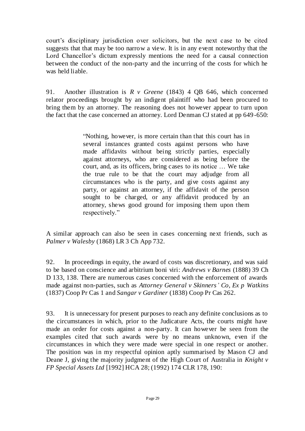court's disciplinary jurisdiction over solicitors, but the next case to be cited suggests that that may be too narrow a view. It is in any event noteworthy that the Lord Chancellor's dictum expressly mentions the need for a causal connection between the conduct of the non-party and the incurring of the costs for which he was held liable.

91. Another illustration is *R v Greene* (1843) 4 QB 646, which concerned relator proceedings brought by an indigent plaintiff who had been procured to bring them by an attorney. The reasoning does not however appear to turn upon the fact that the case concerned an attorney. Lord Denman CJ stated at pp 649-650:

> "Nothing, however, is more certain than that this court has in several instances granted costs against persons who have made affidavits without being strictly parties, especially against attorneys, who are considered as being before the court, and, as its officers, bring cases to its notice … We take the true rule to be that the court may adjudge from all circumstances who is the party, and give costs against any party, or against an attorney, if the affidavit of the person sought to be charged, or any affidavit produced by an attorney, shews good ground for imposing them upon them respectively."

A similar approach can also be seen in cases concerning next friends, such as *Palmer v Walesby* (1868) LR 3 Ch App 732.

92. In proceedings in equity, the award of costs was discretionary, and was said to be based on conscience and arbitrium boni viri: *Andrews v Barnes* (1888) 39 Ch D 133, 138. There are numerous cases concerned with the enforcement of awards made against non-parties, such as *Attorney General v Skinners' Co, Ex p Watkins* (1837) Coop Pr Cas 1 and *Sangar v Gardiner* (1838) Coop Pr Cas 262.

93. It is unnecessary for present purposes to reach any definite conclusions as to the circumstances in which, prior to the Judicature Acts, the courts might have made an order for costs against a non-party. It can however be seen from the examples cited that such awards were by no means unknown, even if the circumstances in which they were made were special in one respect or another. The position was in my respectful opinion aptly summarised by Mason CJ and Deane J, giving the majority judgment of the High Court of Australia in *Knight v FP Special Assets Ltd* [1992] HCA 28; (1992) 174 CLR 178, 190: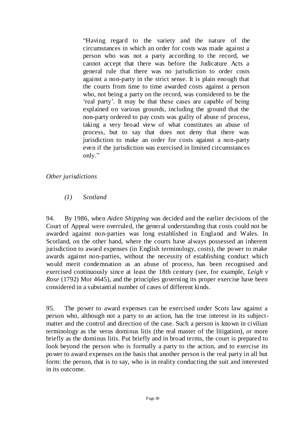"Having regard to the variety and the nature of the circumstances in which an order for costs was made against a person who was not a party according to the record, we cannot accept that there was before the Judicature Acts a general rule that there was no jurisdiction to order costs against a non-party in the strict sense. It is plain enough that the courts from time to time awarded costs against a person who, not being a party on the record, was considered to be the 'real party'. It may be that these cases are capable of being explained on various grounds, including the ground that the non-party ordered to pay costs was guilty of abuse of process, taking a very broad view of what constitutes an abuse of process, but to say that does not deny that there was jurisdiction to make an order for costs against a non-party even if the jurisdiction was exercised in limited circumstances only."

# *Other jurisdictions*

# *(1) Scotland*

94. By 1986, when *Aiden Shipping* was decided and the earlier decisions of the Court of Appeal were overruled, the general understanding that costs could not be awarded against non-parties was long established in England and Wales. In Scotland, on the other hand, where the courts have always possessed an inherent jurisdiction to award expenses (in English terminology, costs), the power to make awards against non-parties, without the necessity of establishing conduct which would merit condemnation as an abuse of process, has been recognised and exercised continuously since at least the 18th century (see, for example, *Leigh v Rose* (1792) Mor 4645), and the principles governing its proper exercise have been considered in a substantial number of cases of different kinds.

95. The power to award expenses can be exercised under Scots law against a person who, although not a party to an action, has the true interest in its subjectmatter and the control and direction of the case. Such a person is known in civilian terminology as the verus dominus litis (the real master of the litigation), or more briefly as the dominus litis. Put briefly and in broad terms, the court is prepared to look beyond the person who is formally a party to the action, and to exercise its power to award expenses on the basis that another person is the real party in all but form: the person, that is to say, who is in reality conducting the suit and interested in its outcome.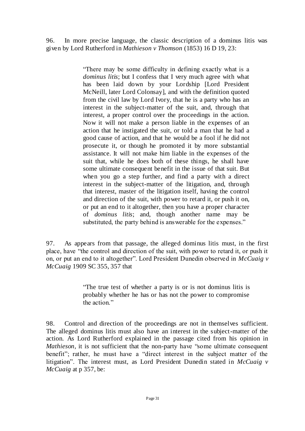96. In more precise language, the classic description of a dominus litis was given by Lord Rutherford in *Mathieson v Thomson* (1853) 16 D 19, 23:

> "There may be some difficulty in defining exactly what is a *dominus litis*; but I confess that I very much agree with what has been laid down by your Lordship [Lord President McNeill, later Lord Colonsay], and with the definition quoted from the civil law by Lord Ivory, that he is a party who has an interest in the subject-matter of the suit, and, through that interest, a proper control over the proceedings in the action. Now it will not make a person liable in the expenses of an action that he instigated the suit, or told a man that he had a good cause of action, and that he would be a fool if he did not prosecute it, or though he promoted it by more substantial assistance. It will not make him liable in the expenses of the suit that, while he does both of these things, he shall have some ultimate consequent benefit in the issue of that suit. But when you go a step further, and find a party with a direct interest in the subject-matter of the litigation, and, through that interest, master of the litigation itself, having the control and direction of the suit, with power to retard it, or push it on, or put an end to it altogether, then you have a proper character of *dominus litis*; and, though another name may be substituted, the party behind is answerable for the expenses."

97. As appears from that passage, the alleged dominus litis must, in the first place, have "the control and direction of the suit, with power to retard it, or push it on, or put an end to it altogether". Lord President Dunedin observed in *McCuaig v McCuaig* 1909 SC 355, 357 that

> "The true test of whether a party is or is not dominus litis is probably whether he has or has not the power to compromise the action."

98. Control and direction of the proceedings are not in themselves sufficient. The alleged dominus litis must also have an interest in the subject-matter of the action. As Lord Rutherford explained in the passage cited from his opinion in *Mathieson*, it is not sufficient that the non-party have "some ultimate consequent benefit"; rather, he must have a "direct interest in the subject matter of the litigation". The interest must, as Lord President Dunedin stated in *McCuaig v McCuaig* at p 357, be: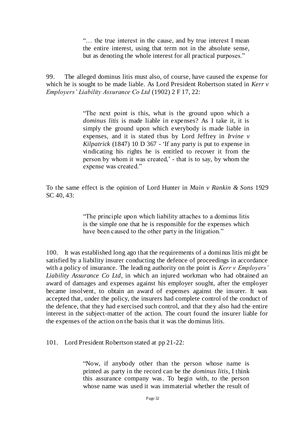"… the true interest in the cause, and by true interest I mean the entire interest, using that term not in the absolute sense, but as denoting the whole interest for all practical purposes."

99. The alleged dominus litis must also, of course, have caused the expense for which he is sought to be made liable. As Lord President Robertson stated in *Kerr v Employers' Liability Assurance Co Ltd* (1902) 2 F 17, 22:

> "The next point is this, what is the ground upon which a *dominus litis* is made liable in expenses? As I take it, it is simply the ground upon which everybody is made liable in expenses, and it is stated thus by Lord Jeffrey in *Irvine v Kilpatrick* (1847) 10 D 367 - 'If any party is put to expense in vindicating his rights he is entitled to recover it from the person by whom it was created,' - that is to say, by whom the expense was created."

To the same effect is the opinion of Lord Hunter in *Main v Rankin & Sons* 1929 SC 40, 43:

> "The principle upon which liability attaches to a dominus litis is the simple one that he is responsible for the expenses which have been caused to the other party in the litigation."

100. It was established long ago that the requirements of a dominus litis mi ght be satisfied by a liability insurer conducting the defence of proceedings in accordance with a policy of insurance. The leading authority on the point is *Kerr v Employers' Liability Assurance Co Ltd*, in which an injured workman who had obtained an award of damages and expenses against his employer sought, after the employer became insolvent, to obtain an award of expenses against the insurer. It was accepted that, under the policy, the insurers had complete control of the conduct of the defence, that they had exercised such control, and that they also had the entire interest in the subject-matter of the action. The court found the insurer liable for the expenses of the action on the basis that it was the dominus litis.

101. Lord President Robertson stated at pp 21-22:

"Now, if anybody other than the person whose name is printed as party in the record can be the *dominus litis*, I think this assurance company was. To begin with, to the person whose name was used it was immaterial whether the result of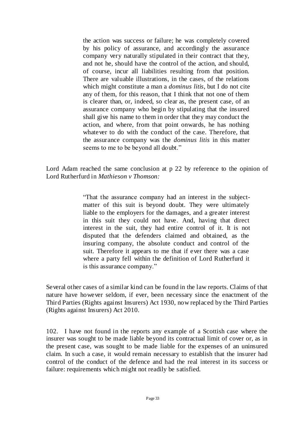the action was success or failure; he was completely covered by his policy of assurance, and accordingly the assurance company very naturally stipulated in their contract that they, and not he, should have the control of the action, and should, of course, incur all liabilities resulting from that position. There are valuable illustrations, in the cases, of the relations which might constitute a man a *dominus litis*, but I do not cite any of them, for this reason, that I think that not one of them is clearer than, or, indeed, so clear as, the present case, of an assurance company who begin by stipulating that the insured shall give his name to them in order that they may conduct the action, and where, from that point onwards, he has nothing whatever to do with the conduct of the case. Therefore, that the assurance company was the *dominus litis* in this matter seems to me to be beyond all doubt."

Lord Adam reached the same conclusion at p 22 by reference to the opinion of Lord Rutherfurd in *Mathieson v Thomson:*

> "That the assurance company had an interest in the subjectmatter of this suit is beyond doubt. They were ultimately liable to the employers for the damages, and a greater interest in this suit they could not have. And, having that direct interest in the suit, they had entire control of it. It is not disputed that the defenders claimed and obtained, as the insuring company, the absolute conduct and control of the suit. Therefore it appears to me that if ever there was a case where a party fell within the definition of Lord Rutherfurd it is this assurance company."

Several other cases of a similar kind can be found in the law reports. Claims of that nature have however seldom, if ever, been necessary since the enactment of the Third Parties (Rights against Insurers) Act 1930, now replaced by the Third Parties (Rights against Insurers) Act 2010.

102. I have not found in the reports any example of a Scottish case where the insurer was sought to be made liable beyond its contractual limit of cover or, as in the present case, was sought to be made liable for the expenses of an uninsured claim. In such a case, it would remain necessary to establish that the insurer had control of the conduct of the defence and had the real interest in its success or failure: requirements which might not readily be satisfied.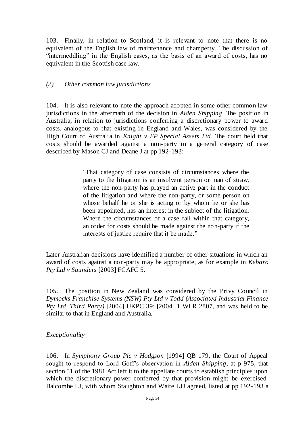103. Finally, in relation to Scotland, it is relevant to note that there is no equivalent of the English law of maintenance and champerty. The discussion of "intermeddling" in the English cases, as the basis of an award of costs, has no equivalent in the Scottish case law.

#### *(2) Other common law jurisdictions*

104. It is also relevant to note the approach adopted in some other common law jurisdictions in the aftermath of the decision in *Aiden Shipping*. The position in Australia, in relation to jurisdictions conferring a discretionary power to award costs, analogous to that existing in England and Wales, was considered by the High Court of Australia in *Knight v FP Special Assets Ltd*. The court held that costs should be awarded against a non-party in a general category of case described by Mason CJ and Deane J at pp 192-193:

> "That category of case consists of circumstances where the party to the litigation is an insolvent person or man of straw, where the non-party has played an active part in the conduct of the litigation and where the non-party, or some person on whose behalf he or she is acting or by whom he or she has been appointed, has an interest in the subject of the litigation. Where the circumstances of a case fall within that category, an order for costs should be made against the non-party if the interests of justice require that it be made."

Later Australian decisions have identified a number of other situations in which an award of costs against a non-party may be appropriate, as for example in *Kebaro Pty Ltd v Saunders* [2003] FCAFC 5.

105. The position in New Zealand was considered by the Privy Council in *Dymocks Franchise Systems (NSW) Pty Ltd v Todd (Associated Industrial Finance Pty Ltd, Third Party)* [2004] UKPC 39; [2004] 1 WLR 2807, and was held to be similar to that in England and Australia.

# *Exceptionality*

106. In *Symphony Group Plc v Hodgson* [1994] QB 179, the Court of Appeal sought to respond to Lord Goff's observation in *Aiden Shipping*, at p 975, that section 51 of the 1981 Act left it to the appellate courts to establish principles upon which the discretionary power conferred by that provision might be exercised. Balcombe LJ, with whom Staughton and Waite LJJ agreed, listed at pp 192-193 a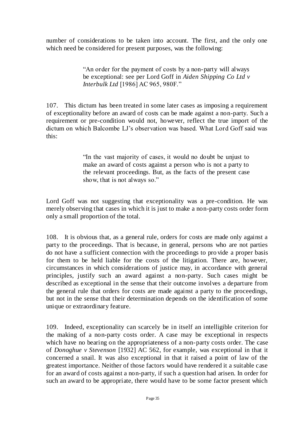number of considerations to be taken into account. The first, and the only one which need be considered for present purposes, was the following:

> "An order for the payment of costs by a non-party will always be exceptional: see per Lord Goff in *Aiden Shipping Co Ltd v Interbulk Ltd* [1986] AC 965, 980F."

107. This dictum has been treated in some later cases as imposing a requirement of exceptionality before an award of costs can be made against a non-party. Such a requirement or pre-condition would not, however, reflect the true import of the dictum on which Balcombe LJ's observation was based. What Lord Goff said was this:

> "In the vast majority of cases, it would no doubt be unjust to make an award of costs against a person who is not a party to the relevant proceedings. But, as the facts of the present case show, that is not always so."

Lord Goff was not suggesting that exceptionality was a pre-condition. He was merely observing that cases in which it is just to make a non-party costs order form only a small proportion of the total.

108. It is obvious that, as a general rule, orders for costs are made only against a party to the proceedings. That is because, in general, persons who are not parties do not have a sufficient connection with the proceedings to pro vide a proper basis for them to be held liable for the costs of the litigation. There are, however, circumstances in which considerations of justice may, in accordance with general principles, justify such an award against a non-party. Such cases might be described as exceptional in the sense that their outcome involves a departure from the general rule that orders for costs are made against a party to the proceedings, but not in the sense that their determination depends on the identification of some unique or extraordinary feature.

109. Indeed, exceptionality can scarcely be in itself an intelligible criterion for the making of a non-party costs order. A case may be exceptional in respects which have no bearing on the appropriateness of a non-party costs order. The case of *Donoghue v Stevenson* [1932] AC 562, for example, was exceptional in that it concerned a snail. It was also exceptional in that it raised a point of law of the greatest importance. Neither of those factors would have rendered it a suitable case for an award of costs against a non-party, if such a question had arisen. In order for such an award to be appropriate, there would have to be some factor present which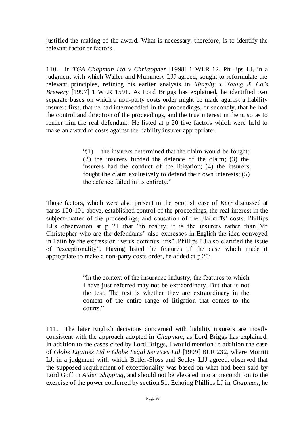justified the making of the award. What is necessary, therefore, is to identify the relevant factor or factors.

110. In *TGA Chapman Ltd v Christopher* [1998] 1 WLR 12, Phillips LJ, in a judgment with which Waller and Mummery LJJ agreed, sought to reformulate the relevant principles, refining his earlier analysis in *Murphy v Young & Co's Brewery* [1997] 1 WLR 1591. As Lord Briggs has explained, he identified two separate bases on which a non-party costs order might be made against a liability insurer: first, that he had intermeddled in the proceedings, or secondly, that he had the control and direction of the proceedings, and the true interest in them, so as to render him the real defendant. He listed at p 20 five factors which were held to make an award of costs against the liability insurer appropriate:

> "(1) the insurers determined that the claim would be fought; (2) the insurers funded the defence of the claim; (3) the insurers had the conduct of the litigation; (4) the insurers fought the claim exclusively to defend their own interests; (5) the defence failed in its entirety."

Those factors, which were also present in the Scottish case of *Kerr* discussed at paras 100-101 above*,* established control of the proceedings, the real interest in the subject-matter of the proceedings, and causation of the plaintiffs' costs. Phillips LJ's observation at p 21 that "in reality, it is the insurers rather than Mr Christopher who are the defendants" also expresses in English the idea conveyed in Latin by the expression "verus dominus litis". Phillips LJ also clarified the issue of "exceptionality"*.* Having listed the features of the case which made it appropriate to make a non-party costs order, he added at p 20:

> "In the context of the insurance industry, the features to which I have just referred may not be extraordinary. But that is not the test. The test is whether they are extraordinary in the context of the entire range of litigation that comes to the courts."

111. The later English decisions concerned with liability insurers are mostly consistent with the approach adopted in *Chapman,* as Lord Briggs has explained. In addition to the cases cited by Lord Briggs, I would mention in addition the case of *Globe Equities Ltd v Globe Legal Services Ltd* [1999] BLR 232, where Morritt LJ, in a judgment with which Butler-Sloss and Sedley LJJ agreed, observed that the supposed requirement of exceptionality was based on what had been said by Lord Goff in *Aiden Shipping*, and should not be elevated into a precondition to the exercise of the power conferred by section 51. Echoing Phillips LJ in *Chapman*, he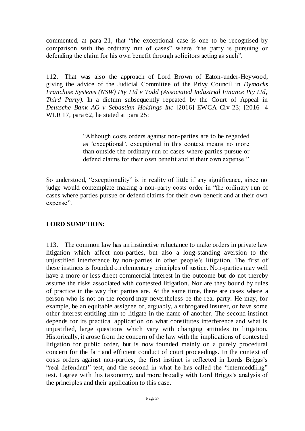commented, at para 21, that "the exceptional case is one to be recognised by comparison with the ordinary run of cases" where "the party is pursuing or defending the claim for his own benefit through solicitors acting as such".

112. That was also the approach of Lord Brown of Eaton-under-Heywood, giving the advice of the Judicial Committee of the Privy Council in *Dymocks Franchise Systems (NSW) Pty Ltd v Todd (Associated Industrial Finance Pty Ltd, Third Party)*. In a dictum subsequently repeated by the Court of Appeal in *Deutsche Bank AG v Sebastian Holdings Inc* [2016] EWCA Civ 23; [2016] 4 WLR 17, para 62, he stated at para 25:

> "Although costs orders against non-parties are to be regarded as 'exceptional', exceptional in this context means no more than outside the ordinary run of cases where parties pursue or defend claims for their own benefit and at their own expense."

So understood, "exceptionality" is in reality of little if any significance, since no judge would contemplate making a non-party costs order in "the ordinary run of cases where parties pursue or defend claims for their own benefit and at their own expense".

# **LORD SUMPTION:**

113. The common law has an instinctive reluctance to make orders in private law litigation which affect non-parties, but also a long-standing aversion to the unjustified interference by non-parties in other people's litigation. The first of these instincts is founded on elementary principles of justice. Non-parties may well have a more or less direct commercial interest in the outcome but do not thereby assume the risks associated with contested litigation. Nor are they bound by rules of practice in the way that parties are. At the same time, there are cases where a person who is not on the record may nevertheless be the real party. He may, for example, be an equitable assignee or, arguably, a subrogated insurer, or have some other interest entitling him to litigate in the name of another. The second instinct depends for its practical application on what constitutes interference and what is unjustified, large questions which vary with changing attitudes to litigation. Historically, it arose from the concern of the law with the implications of contested litigation for public order, but is now founded mainly on a purely procedural concern for the fair and efficient conduct of court proceedings. In the context of costs orders against non-parties, the first instinct is reflected in Lords Briggs's "real defendant" test, and the second in what he has called the "intermeddling" test. I agree with this taxonomy, and more broadly with Lord Briggs's analysis of the principles and their application to this case.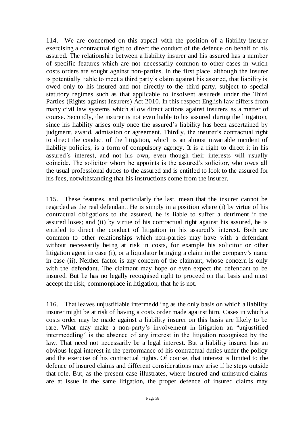114. We are concerned on this appeal with the position of a liability insurer exercising a contractual right to direct the conduct of the defence on behalf of his assured. The relationship between a liability insurer and his assured has a number of specific features which are not necessarily common to other cases in which costs orders are sought against non-parties. In the first place, although the insurer is potentially liable to meet a third party's claim against his assured, that liability is owed only to his insured and not directly to the third party, subject to special statutory regimes such as that applicable to insolvent assureds under the Third Parties (Rights against Insurers) Act 2010. In this respect English law differs from many civil law systems which allow direct actions against insurers as a matter of course. Secondly, the insurer is not even liable to his assured during the litigation, since his liability arises only once the assured's liability has been ascertained by judgment, award, admission or agreement. Thirdly, the insurer's contractual right to direct the conduct of the litigation, which is an almost invariable incident of liability policies, is a form of compulsory agency. It is a right to direct it in his assured's interest, and not his own, even though their interests will usually coincide. The solicitor whom he appoints is the assured's solicitor, who owes all the usual professional duties to the assured and is entitled to look to the assured for his fees, notwithstanding that his instructions come from the insurer.

115. These features, and particularly the last, mean that the insurer cannot be regarded as the real defendant. He is simply in a position where (i) by virtue of his contractual obligations to the assured, he is liable to suffer a detriment if the assured loses; and (ii) by virtue of his contractual right against his assured, he is entitled to direct the conduct of litigation in his assured's interest. Both are common to other relationships which non-parties may have with a defendant without necessarily being at risk in costs, for example his solicitor or other litigation agent in case (i), or a liquidator bringing a claim in the company's name in case (ii). Neither factor is any concern of the claimant, whose concern is only with the defendant. The claimant may hope or even expect the defendant to be insured. But he has no legally recognised right to proceed on that basis and must accept the risk, commonplace in litigation, that he is not.

116. That leaves unjustifiable intermeddling as the only basis on which a liability insurer might be at risk of having a costs order made against him. Cases in which a costs order may be made against a liability insurer on this basis are likely to be rare. What may make a non-party's involvement in litigation an "unjustified intermeddling" is the absence of any interest in the litigation recognised by the law. That need not necessarily be a legal interest. But a liability insurer has an obvious legal interest in the performance of his contractual duties under the policy and the exercise of his contractual rights. Of course, that interest is limited to the defence of insured claims and different considerations may arise if he steps outside that role. But, as the present case illustrates, where insured and uninsured claims are at issue in the same litigation, the proper defence of insured claims may